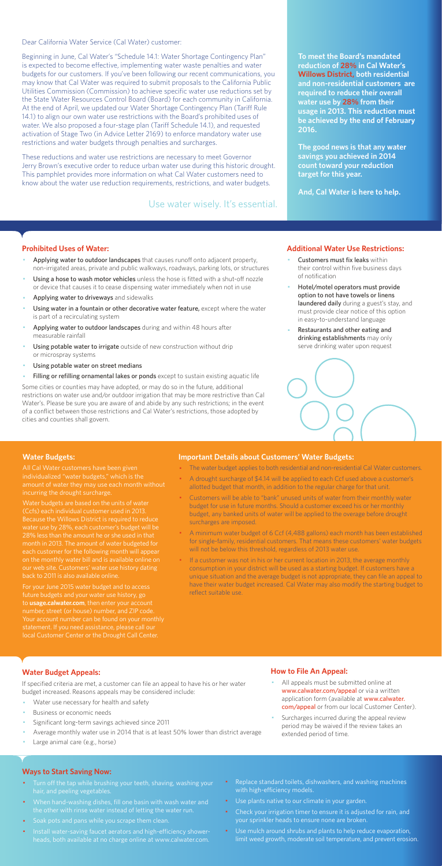Dear California Water Service (Cal Water) customer:

Beginning in June, Cal Water's "Schedule 14.1: Water Shortage Contingency Plan" is expected to become effective, implementing water waste penalties and water budgets for our customers. If you've been following our recent communications, you may know that Cal Water was required to submit proposals to the California Public Utilities Commission (Commission) to achieve specific water use reductions set by the State Water Resources Control Board (Board) for each community in California. At the end of April, we updated our Water Shortage Contingency Plan (Tariff Rule 14.1) to align our own water use restrictions with the Board's prohibited uses of water. We also proposed a four-stage plan (Tariff Schedule 14.1), and requested activation of Stage Two (in Advice Letter 2169) to enforce mandatory water use restrictions and water budgets through penalties and surcharges.

These reductions and water use restrictions are necessary to meet Governor Jerry Brown's executive order to reduce urban water use during this historic drought. This pamphlet provides more information on what Cal Water customers need to know about the water use reduction requirements, restrictions, and water budgets.

#### **Prohibited Uses of Water:**

- Applying water to outdoor landscapes that causes runoff onto adjacent property, non-irrigated areas, private and public walkways, roadways, parking lots, or structures
- Using a hose to wash motor vehicles unless the hose is fitted with a shut-off nozzle or device that causes it to cease dispensing water immediately when not in use
- Applying water to driveways and sidewalks
- Using water in a fountain or other decorative water feature, except where the water is part of a recirculating system
- Applying water to outdoor landscapes during and within 48 hours after measurable rainfall
- Using potable water to irrigate outside of new construction without drip or microspray systems
- Using potable water on street medians
- Filling or refilling ornamental lakes or ponds except to sustain existing aquatic life
- Customers must fix leaks within their control within five business days of notification
- Hotel/motel operators must provide option to not have towels or linens laundered daily during a guest's stay, and must provide clear notice of this option in easy-to-understand language
- Restaurants and other eating and drinking establishments may only serve drinking water upon request



- All appeals must be submitted online at www.calwater.com/appeal or via a written application form (available at www.calwater. com/appeal or from our local Customer Center).
- · Surcharges incurred during the appeal review period may be waived if the review takes an extended period of time.

Some cities or counties may have adopted, or may do so in the future, additional restrictions on water use and/or outdoor irrigation that may be more restrictive than Cal Water's. Please be sure you are aware of and abide by any such restrictions; in the event of a conflict between those restrictions and Cal Water's restrictions, those adopted by cities and counties shall govern.

- Turn off the tap while brushing your teeth, shaving, washing your hair, and peeling vegetables.
- · When hand-washing dishes, fill one basin with wash water and the other with rinse water instead of letting the water run.
- · Soak pots and pans while you scrape them clean.
- · Install water-saving faucet aerators and high-efficiency showerheads, both available at no charge online at www.calwater.com.
- Replace standard toilets, dishwashers, and washing machines with high-efficiency models.
- · Use plants native to our climate in your garden.
- Check your irrigation timer to ensure it is adjusted for rain, and your sprinkler heads to ensure none are broken.
- · Use mulch around shrubs and plants to help reduce evaporation, limit weed growth, moderate soil temperature, and prevent erosion.

**To meet the Board's mandated reduction of 28% in Cal Water's Willows District, both residential and non-residential customers are required to reduce their overall water use by 28% from their usage in 2013. This reduction must be achieved by the end of February 2016.** 

**The good news is that any water savings you achieved in 2014 count toward your reduction target for this year.** 

**And, Cal Water is here to help.** 

#### **Additional Water Use Restrictions:**

## **Water Budget Appeals:**

If specified criteria are met, a customer can file an appeal to have his or her water budget increased. Reasons appeals may be considered include:

- Water use necessary for health and safety
- Business or economic needs
- Significant long-term savings achieved since 2011
- Average monthly water use in 2014 that is at least 50% lower than district average
- Large animal care (e.g., horse)

If a customer was not in his or her current location in 2013, the average monthly consumption in your district will be used as a starting budget. If customers have a unique situation and the average budget is not appropriate, they can file an appeal to have their water budget increased. Cal Water may also modify the starting budget to reflect suitable use.

## **How to File An Appeal:**

#### **Ways to Start Saving Now:**

Use water wisely. It's essential.

#### **Water Budgets:**

individualized "water budgets," which is the incurring the drought surcharge.

Water budgets are based on the units of water (Ccfs) each individual customer used in 2013. water use by 28%, each customer's budget will be 28% less than the amount he or she used in that month in 2013. The amount of water budgeted for each customer for the following month will appea on the monthly water bill and is available online on

For your June 2015 water budget and to access future budgets and your water use history, go to **usage.calwater.com**, then enter your account number, street (or house) number, and ZIP code. local Customer Center or the Drought Call Center.

#### **Important Details about Customers' Water Budgets:**

- · The water budget applies to both residential and non-residential Cal Water customers.
- A drought surcharge of \$4.14 will be applied to each Ccf used above a customer's allotted budget that month, in addition to the regular charge for that unit.
- · Customers will be able to "bank" unused units of water from their monthly water budget for use in future months. Should a customer exceed his or her monthly budget, any banked units of water will be applied to the overage before drought surcharges are imposed.
- · A minimum water budget of 6 Ccf (4,488 gallons) each month has been established for single-family, residential customers. That means these customers' water budgets will not be below this threshold, regardless of 2013 water use.